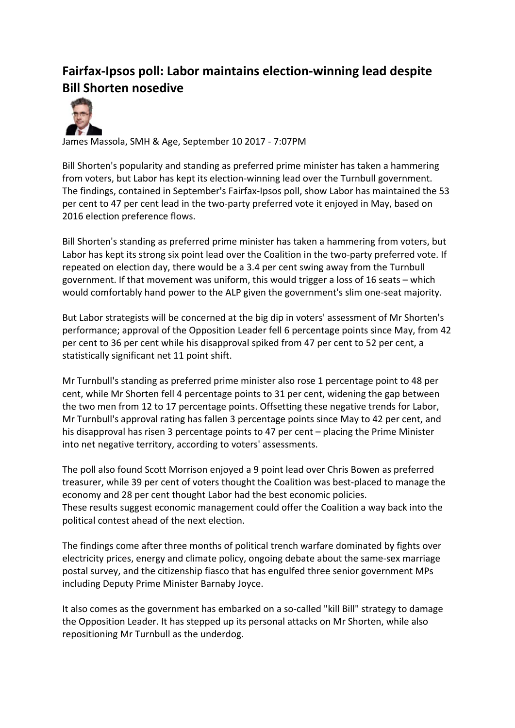## **Fairfax-Ipsos poll: Labor maintains election-winning lead despite Bill Shorten nosedive**



James Massola, SMH & Age, September 10 2017 - 7:07PM

Bill Shorten's popularity and standing as preferred prime minister has taken a hammering from voters, but Labor has kept its election-winning lead over the Turnbull government. The findings, contained in September's Fairfax-Ipsos poll, show Labor has maintained the 53 per cent to 47 per cent lead in the two-party preferred vote it enjoyed in May, based on 2016 election preference flows.

Bill Shorten's standing as preferred prime minister has taken a hammering from voters, but Labor has kept its strong six point lead over the Coalition in the two-party preferred vote. If repeated on election day, there would be a 3.4 per cent swing away from the Turnbull government. If that movement was uniform, this would trigger a loss of 16 seats – which would comfortably hand power to the ALP given the government's slim one-seat majority.

But Labor strategists will be concerned at the big dip in voters' assessment of Mr Shorten's performance; approval of the Opposition Leader fell 6 percentage points since May, from 42 per cent to 36 per cent while his disapproval spiked from 47 per cent to 52 per cent, a statistically significant net 11 point shift.

Mr Turnbull's standing as preferred prime minister also rose 1 percentage point to 48 per cent, while Mr Shorten fell 4 percentage points to 31 per cent, widening the gap between the two men from 12 to 17 percentage points. Offsetting these negative trends for Labor, Mr Turnbull's approval rating has fallen 3 percentage points since May to 42 per cent, and his disapproval has risen 3 percentage points to 47 per cent – placing the Prime Minister into net negative territory, according to voters' assessments.

The poll also found Scott Morrison enjoyed a 9 point lead over Chris Bowen as preferred treasurer, while 39 per cent of voters thought the Coalition was best-placed to manage the economy and 28 per cent thought Labor had the best economic policies. These results suggest economic management could offer the Coalition a way back into the political contest ahead of the next election.

The findings come after three months of political trench warfare dominated by fights over electricity prices, energy and climate policy, ongoing debate about the same-sex marriage postal survey, and the citizenship fiasco that has engulfed three senior government MPs including Deputy Prime Minister Barnaby Joyce.

It also comes as the government has embarked on a so-called "kill Bill" strategy to damage the Opposition Leader. It has stepped up its personal attacks on Mr Shorten, while also repositioning Mr Turnbull as the underdog.